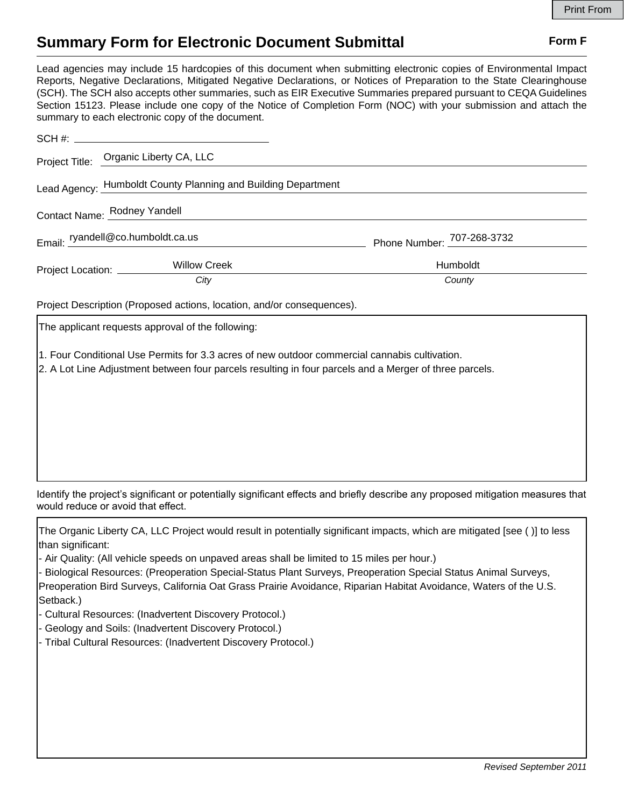## **Summary Form for Electronic Document Submittal Form F Form F**

Lead agencies may include 15 hardcopies of this document when submitting electronic copies of Environmental Impact Reports, Negative Declarations, Mitigated Negative Declarations, or Notices of Preparation to the State Clearinghouse (SCH). The SCH also accepts other summaries, such as EIR Executive Summaries prepared pursuant to CEQA Guidelines Section 15123. Please include one copy of the Notice of Completion Form (NOC) with your submission and attach the summary to each electronic copy of the document.

|                                   | Project Title: Organic Liberty CA, LLC                        |                            |
|-----------------------------------|---------------------------------------------------------------|----------------------------|
|                                   | Lead Agency: Humboldt County Planning and Building Department |                            |
| Contact Name: Rodney Yandell      |                                                               |                            |
| Email: ryandell@co.humboldt.ca.us |                                                               | Phone Number: 707-268-3732 |
| Project Location: _________       | <b>Willow Creek</b>                                           | Humboldt                   |
|                                   | City                                                          | County                     |
|                                   |                                                               |                            |

Project Description (Proposed actions, location, and/or consequences).

The applicant requests approval of the following:

1. Four Conditional Use Permits for 3.3 acres of new outdoor commercial cannabis cultivation.

2. A Lot Line Adjustment between four parcels resulting in four parcels and a Merger of three parcels.

Identify the project's significant or potentially significant effects and briefly describe any proposed mitigation measures that would reduce or avoid that effect.

The Organic Liberty CA, LLC Project would result in potentially significant impacts, which are mitigated [see ( )] to less than significant:

- Air Quality: (All vehicle speeds on unpaved areas shall be limited to 15 miles per hour.)

- Biological Resources: (Preoperation Special-Status Plant Surveys, Preoperation Special Status Animal Surveys, Preoperation Bird Surveys, California Oat Grass Prairie Avoidance, Riparian Habitat Avoidance, Waters of the U.S. Setback.)

- Cultural Resources: (Inadvertent Discovery Protocol.)

- Geology and Soils: (Inadvertent Discovery Protocol.)

- Tribal Cultural Resources: (Inadvertent Discovery Protocol.)